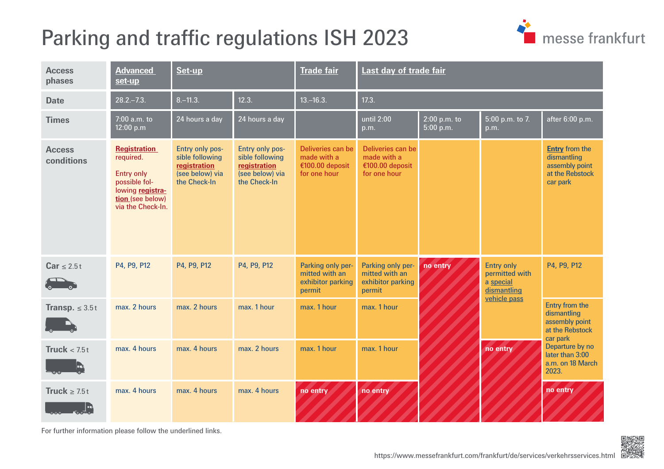## <span id="page-0-0"></span>Parking and traffic regulations ISH 2023



| <b>Access</b><br>phases                                        | <b>Advanced</b><br>set-up                                                                                                           | Set-up                                                                                |                                                                                       | <b>Trade fair</b>                                                   | Last day of trade fair                                              |                             |                                                                                             |                                                                                                                                                   |  |
|----------------------------------------------------------------|-------------------------------------------------------------------------------------------------------------------------------------|---------------------------------------------------------------------------------------|---------------------------------------------------------------------------------------|---------------------------------------------------------------------|---------------------------------------------------------------------|-----------------------------|---------------------------------------------------------------------------------------------|---------------------------------------------------------------------------------------------------------------------------------------------------|--|
| <b>Date</b>                                                    | $28.2 - 7.3$ .                                                                                                                      | $8 - 11.3$ .                                                                          | 12.3.                                                                                 | $13 - 16.3$ .                                                       | 17.3.                                                               |                             |                                                                                             |                                                                                                                                                   |  |
| <b>Times</b>                                                   | 7:00 a.m. to<br>12:00 p.m                                                                                                           | 24 hours a day                                                                        | $\sqrt{24}$ hours a day                                                               |                                                                     | until 2:00<br>p.m.                                                  | $2:00$ p.m. to<br>5:00 p.m. | 5:00 p.m. to 7.<br>p.m.                                                                     | after 6:00 p.m.                                                                                                                                   |  |
| <b>Access</b><br>conditions                                    | <b>Registration</b><br>required.<br><b>Entry only</b><br>possible fol-<br>lowing registra-<br>tion (see below)<br>via the Check-In. | Entry only pos-<br>sible following<br>registration<br>(see below) via<br>the Check-In | Entry only pos-<br>sible following<br>registration<br>(see below) via<br>the Check-In | Deliveries can be<br>made with a<br>€100.00 deposit<br>for one hour | Deliveries can be<br>made with a<br>€100.00 deposit<br>for one hour |                             |                                                                                             | <b>Entry from the</b><br>dismantling<br>assembly point<br>at the Rebstock<br>car park                                                             |  |
| $Car \leq 2.5t$                                                | P4, P9, P12                                                                                                                         | P4, P9, P12                                                                           | P4, P9, P12                                                                           | Parking only per-<br>mitted with an<br>exhibitor parking<br>permit  | Parking only per-<br>mitted with an<br>exhibitor parking<br>permit  | no entry                    | <b>Entry only</b><br>permitted with<br>a special<br>dismantling<br>vehicle pass<br>no entry | P4, P9, P12                                                                                                                                       |  |
| Transp. $\leq 3.5t$<br>$\Gamma_{\circ}$ , and $\Gamma_{\circ}$ | max. 2 hours                                                                                                                        | max. 2 hours                                                                          | max. 1 hour                                                                           | max. 1 hour                                                         | max. 1 hour                                                         |                             |                                                                                             | Entry from the<br>dismantling<br>assembly point<br>at the Rebstock<br>car park<br>Departure by no<br>later than 3:00<br>a.m. on 18 March<br>2023. |  |
| Truck $< 7.5t$<br>In 1                                         | max. 4 hours                                                                                                                        | max. 4 hours                                                                          | max. 2 hours                                                                          | max. 1 hour                                                         | max. 1 hour                                                         |                             |                                                                                             |                                                                                                                                                   |  |
| Truck $\geq 7.5t$                                              | max. 4 hours                                                                                                                        | max. 4 hours                                                                          | max. 4 hours                                                                          | no entry                                                            | no entry                                                            |                             |                                                                                             | no entry                                                                                                                                          |  |

For further information please follow the underlined links.

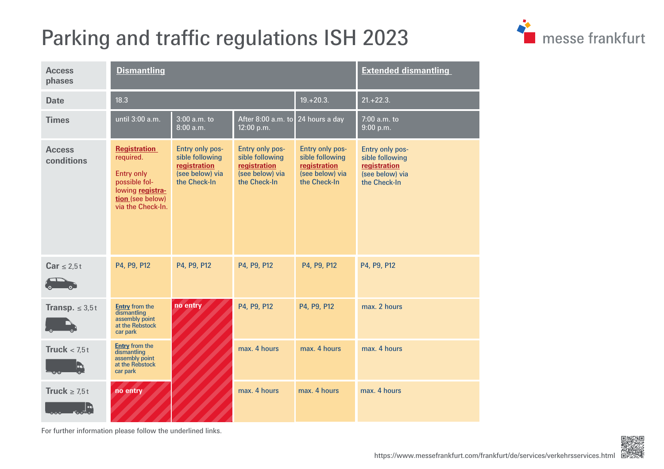## <span id="page-1-0"></span>Parking and traffic regulations ISH 2023



| <b>Access</b><br>phases     | <b>Dismantling</b>                                                                                                           |                                                                                       |                                                                                       |                                                                                       | <b>Extended dismantling</b>                                                           |
|-----------------------------|------------------------------------------------------------------------------------------------------------------------------|---------------------------------------------------------------------------------------|---------------------------------------------------------------------------------------|---------------------------------------------------------------------------------------|---------------------------------------------------------------------------------------|
| <b>Date</b>                 | 18.3                                                                                                                         |                                                                                       |                                                                                       | $19. + 20.3.$                                                                         | $21.+22.3.$                                                                           |
| <b>Times</b>                | until 3:00 a.m.                                                                                                              | 3:00 a.m. to<br>8:00 a.m.                                                             | After 8:00 a.m. to 24 hours a day<br>12:00 p.m.                                       |                                                                                       | 7:00 a.m. to<br>9:00 p.m.                                                             |
| <b>Access</b><br>conditions | <b>Registration</b><br>required.<br>Entry only<br>possible fol-<br>lowing registra-<br>tion (see below)<br>via the Check-In. | Entry only pos-<br>sible following<br>registration<br>(see below) via<br>the Check-In | Entry only pos-<br>sible following<br>registration<br>(see below) via<br>the Check-In | Entry only pos-<br>sible following<br>registration<br>(see below) via<br>the Check-In | Entry only pos-<br>sible following<br>registration<br>(see below) via<br>the Check-In |
| $Car \leq 2.5t$             | P4, P9, P12                                                                                                                  | P4, P9, P12                                                                           | P4, P9, P12                                                                           | P4, P9, P12                                                                           | P4, P9, P12                                                                           |
| <b>Transp.</b> $\leq 3.5t$  | <b>Entry</b> from the<br>dismantling<br>assembly point<br>at the Rebstock<br>car park                                        | no entry                                                                              | P4, P9, P12                                                                           | P4, P9, P12                                                                           | max. 2 hours                                                                          |
| Truck $< 7.5t$              | <b>Entry</b> from the<br>dismantling<br>assembly point<br>at the Rebstock<br>car park                                        |                                                                                       | max. 4 hours                                                                          | max. 4 hours                                                                          | max. 4 hours                                                                          |
| Truck $\geq 7.5t$           | no entry                                                                                                                     |                                                                                       | max. 4 hours                                                                          | max. 4 hours                                                                          | max. 4 hours                                                                          |

For further information please follow the underlined links.